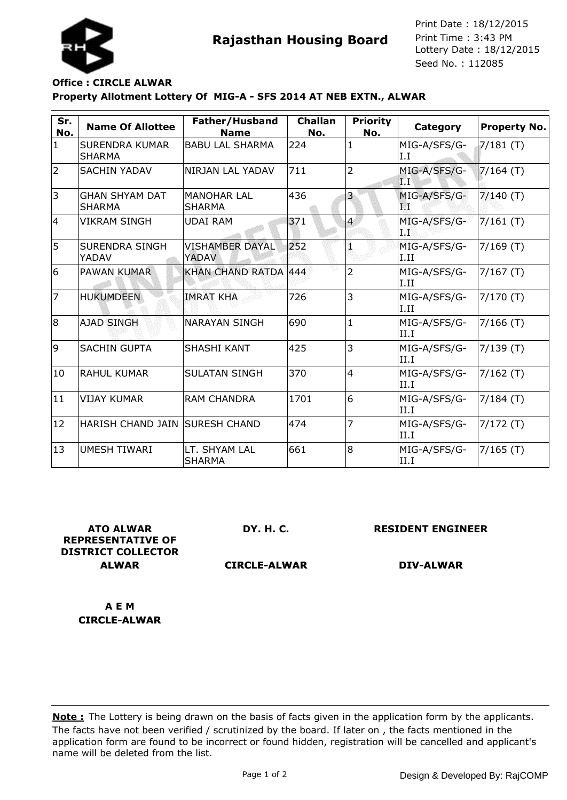



Seed No. : 112085 Print Date : 18/12/2015 Print Time : 3:43 PM

## **Property Allotment Lottery Of MIG-A - SFS 2014 AT NEB EXTN., ALWAR Office : CIRCLE ALWAR**

| Sr.<br>No.     | <b>Name Of Allottee</b>                | Father/Husband<br><b>Name</b>       | <b>Challan</b><br>No. | <b>Priority</b><br>No. | Category             | <b>Property No.</b> |
|----------------|----------------------------------------|-------------------------------------|-----------------------|------------------------|----------------------|---------------------|
| $\mathbf{1}$   | <b>SURENDRA KUMAR</b><br><b>SHARMA</b> | <b>BABU LAL SHARMA</b>              | 224                   | 1                      | MIG-A/SFS/G-<br>I.I  | $7/181$ (T)         |
| $\overline{2}$ | <b>SACHIN YADAV</b>                    | NIRJAN LAL YADAV                    | 711                   | $\overline{2}$         | MIG-A/SFS/G-<br>IТ   | $7/164$ (T)         |
| 3              | <b>GHAN SHYAM DAT</b><br><b>SHARMA</b> | <b>MANOHAR LAL</b><br><b>SHARMA</b> | 436                   | 3                      | MIG-A/SFS/G-<br>П    | $7/140$ (T)         |
| 14             | VIKRAM SINGH                           | <b>UDAI RAM</b>                     | 371                   | $\overline{4}$         | MIG-A/SFS/G-<br>I.I  | $7/161$ (T)         |
| 5              | <b>SURENDRA SINGH</b><br>YADAV         | <b>VISHAMBER DAYAL</b><br>YADAV     | 252                   |                        | MIG-A/SFS/G-<br>I.II | $7/169$ (T)         |
| 6              | <b>PAWAN KUMAR</b>                     | KHAN CHAND RATDA 444                |                       | $\overline{2}$         | MIG-A/SFS/G-<br>I.II | $7/167$ (T)         |
| 7              | <b>HUKUMDEEN</b>                       | <b>IMRAT KHA</b>                    | 726                   | 3                      | MIG-A/SFS/G-<br>I.II | $7/170$ (T)         |
| 8              | <b>AJAD SINGH</b>                      | <b>NARAYAN SINGH</b>                | 690                   | $\mathbf{1}$           | MIG-A/SFS/G-<br>II.I | $7/166$ (T)         |
| 9              | <b>SACHIN GUPTA</b>                    | <b>SHASHI KANT</b>                  | 425                   | 3                      | MIG-A/SFS/G-<br>II.I | 7/139(T)            |
| 10             | IRAHUL KUMAR                           | <b>SULATAN SINGH</b>                | 370                   | $\overline{4}$         | MIG-A/SFS/G-<br>II.I | $7/162$ (T)         |
| 11             | <b>VIJAY KUMAR</b>                     | <b>RAM CHANDRA</b>                  | 1701                  | 6                      | MIG-A/SFS/G-<br>II.I | $7/184$ (T)         |
| 12             | HARISH CHAND JAIN  SURESH CHAND        |                                     | 474                   | 7                      | MIG-A/SFS/G-<br>II.I | $7/172$ (T)         |
| 13             | UMESH TIWARI                           | LT. SHYAM LAL<br><b>SHARMA</b>      | 661                   | 8                      | MIG-A/SFS/G-<br>II.I | $7/165$ (T)         |

**ATO ALWAR REPRESENTATIVE OF DISTRICT COLLECTOR ALWAR**

**DY. H. C.**

**RESIDENT ENGINEER**

**CIRCLE-ALWAR**

**DIV-ALWAR**

**A E M CIRCLE-ALWAR**

The facts have not been verified / scrutinized by the board. If later on , the facts mentioned in the application form are found to be incorrect or found hidden, registration will be cancelled and applicant's name will be deleted from the list. **Note :** The Lottery is being drawn on the basis of facts given in the application form by the applicants.